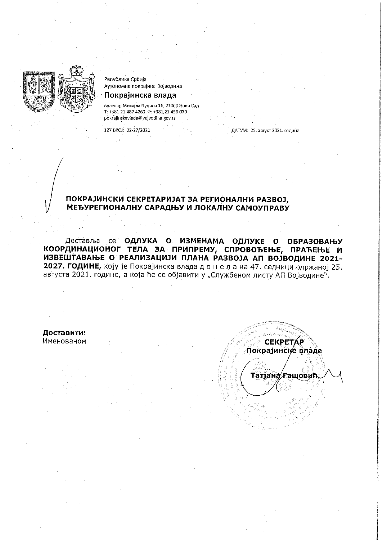

Република Србија Аутономна покрајина Војводина

# Покрајинска влада

Булевар Михајла Пупина 16, 21000 Нови Сад T: +381 21 487 4260  $\Phi$ : +381 21 456 079 pokrajinskavlada@vojvodina.gov.rs

127 EPOJ: 02-27/2021

ДАТУМ: 25. август 2021. године

## ПОКРАЈИНСКИ СЕКРЕТАРИЈАТ ЗА РЕГИОНАЛНИ РАЗВОЈ, МЕЂУРЕГИОНАЛНУ САРАДЊУ И ЛОКАЛНУ САМОУПРАВУ

Доставља се **ОДЛУКА О ИЗМЕНАМА ОДЛУКЕ О ОБРАЗОВАЊУ** КООРДИНАЦИОНОГ ТЕЛА ЗА ПРИПРЕМУ, СПРОВОЂЕЊЕ, ПРАЋЕЊЕ И ИЗВЕШТАВАЊЕ О РЕАЛИЗАЦИЈИ ПЛАНА РАЗВОЈА АП ВОЈВОДИНЕ 2021-2027. ГОДИНЕ, коју је Покрајинска влада донела на 47. седници одржаној 25. августа 2021. године, а која ће се објавити у "Службеном листу АП Војводине".

Доставити: Именованом